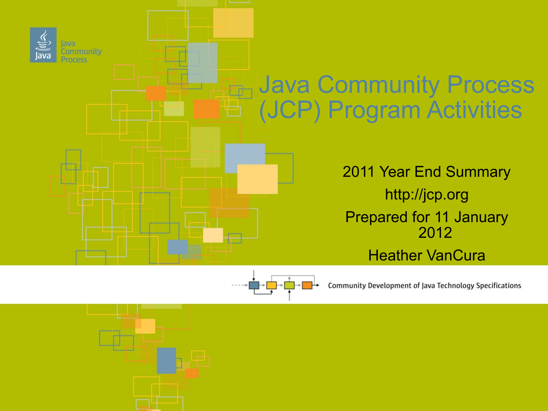



Community Development of Java Technology Specifications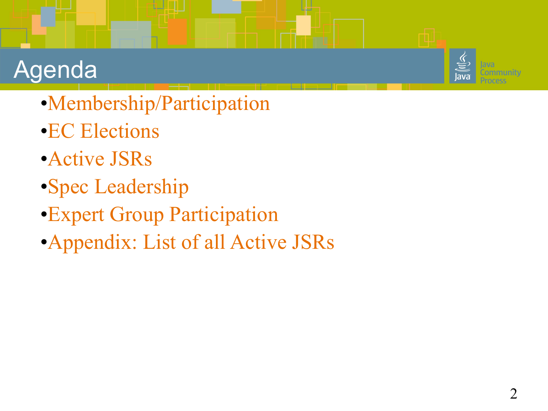#### Agenda

- •Membership/Participation
- •EC Elections
- •Active JSRs
- •Spec Leadership
- •Expert Group Participation
- •Appendix: List of all Active JSRs

ommunitv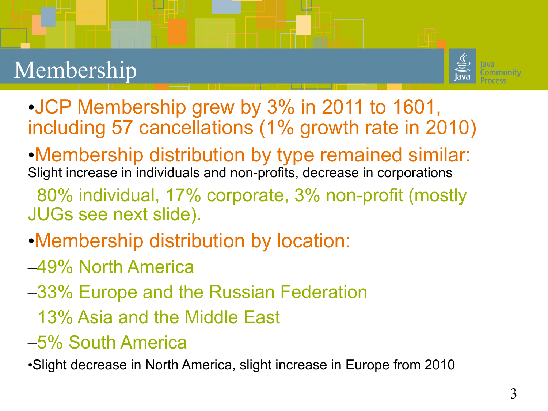## Membership



- •JCP Membership grew by 3% in 2011 to 1601, including 57 cancellations (1% growth rate in 2010)
- •Membership distribution by type remained similar: Slight increase in individuals and non-profits, decrease in corporations
- –80% individual, 17% corporate, 3% non-profit (mostly JUGs see next slide).
- •Membership distribution by location:
- –49% North America
- –33% Europe and the Russian Federation
- –13% Asia and the Middle East
- –5% South America

•Slight decrease in North America, slight increase in Europe from 2010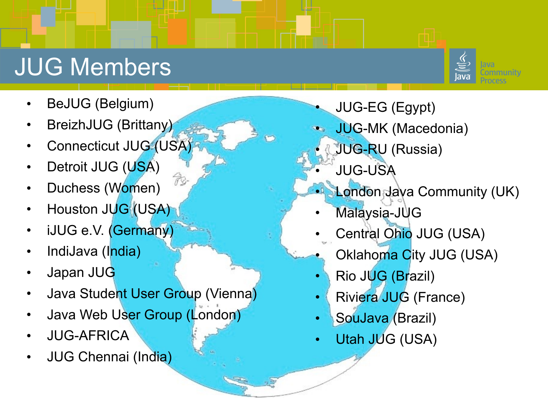## JUG Members

- BeJUG (Belgium)
- BreizhJUG (Brittany)
- Connecticut JUG (USA)
- Detroit JUG (USA)
- Duchess (Women)
- Houston JUG (USA)
- iJUG e.V. (Germany)
- IndiJava (India)
- Japan JUG
- Java Student User Group (Vienna)

Ŕ

- Java Web User Group (London)
- JUG-AFRICA
- JUG Chennai (India)
- JUG-EG (Egypt)
- JUG-MK (Macedonia)
	- JUG-RU (Russia)
	- JUG-USA
- London Java Community (UK)
- Malaysia-JUG
- Central Ohio JUG (USA)
- Oklahoma City JUG (USA)
- Rio JUG (Brazil)
- Riviera JUG (France)
- SouJava (Brazil)
- Utah JUG (USA)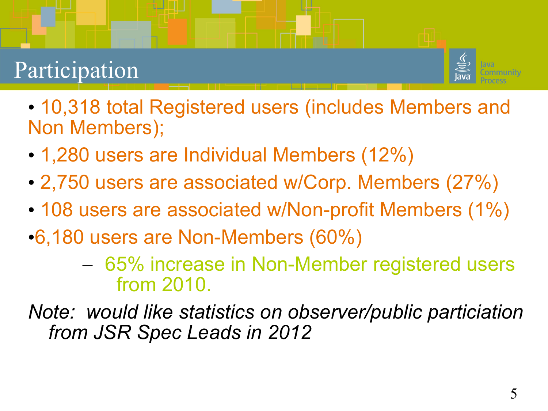#### Participation



- 10,318 total Registered users (includes Members and Non Members);
- 1,280 users are Individual Members (12%)
- 2,750 users are associated w/Corp. Members (27%)
- 108 users are associated w/Non-profit Members (1%)
- •6,180 users are Non-Members (60%)
	- 65% increase in Non-Member registered users from 2010.
- *Note: would like statistics on observer/public particiation from JSR Spec Leads in 2012*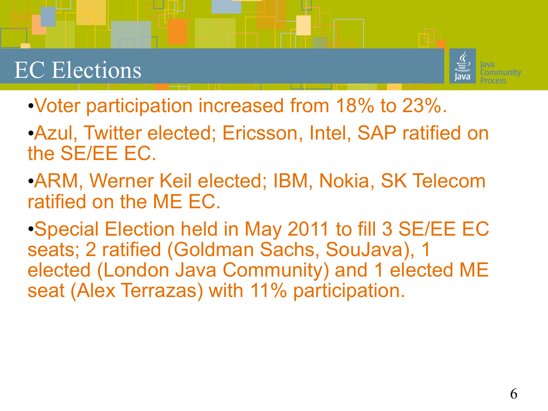#### EC Elections



- •Voter participation increased from 18% to 23%.
- •Azul, Twitter elected; Ericsson, Intel, SAP ratified on the SE/EE EC.
- •ARM, Werner Keil elected; IBM, Nokia, SK Telecom ratified on the ME EC.
- •Special Election held in May 2011 to fill 3 SE/EE EC seats; 2 ratified (Goldman Sachs, SouJava), 1 elected (London Java Community) and 1 elected ME seat (Alex Terrazas) with 11% participation.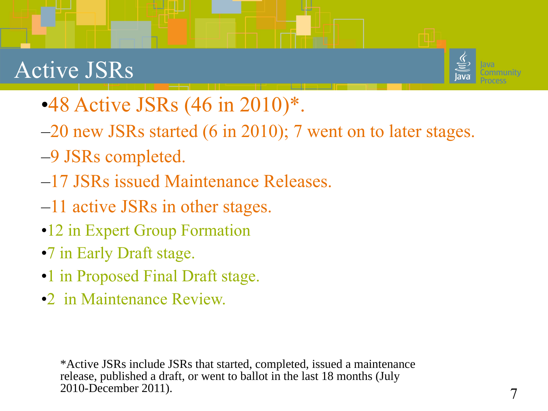#### Active JSRs



- •48 Active JSRs (46 in 2010)<sup>\*</sup>.
- –20 new JSRs started (6 in 2010); 7 went on to later stages.
- –9 JSRs completed.
- –17 JSRs issued Maintenance Releases.
- –11 active JSRs in other stages.
- •12 in Expert Group Formation
- •7 in Early Draft stage.
- •1 in Proposed Final Draft stage.
- •2 in Maintenance Review.

\*Active JSRs include JSRs that started, completed, issued a maintenance release, published a draft, or went to ballot in the last 18 months (July 2010-December 2011).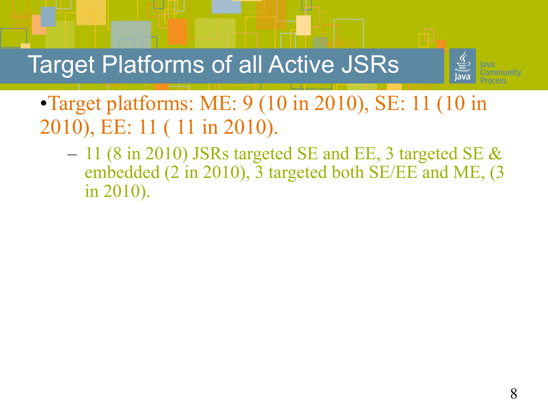Target Platforms of all Active JSRs



•Target platforms: ME: 9 (10 in 2010), SE: 11 (10 in 2010), EE: 11 ( 11 in 2010).

– 11 (8 in 2010) JSRs targeted SE and EE, 3 targeted SE  $\&$ embedded (2 in 2010), 3 targeted both SE/EE and ME, (3 in 2010).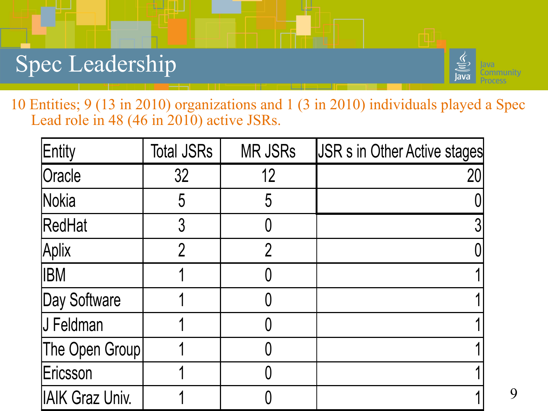#### Spec Leadership



10 Entities; 9 (13 in 2010) organizations and 1 (3 in 2010) individuals played a Spec Lead role in 48 (46 in 2010) active JSRs.

| Entity                 | <b>Total JSRs</b> | <b>MR JSRs</b> | <b>JSR s in Other Active stages</b> |
|------------------------|-------------------|----------------|-------------------------------------|
| Oracle                 | 32                | 12             | 20                                  |
| Nokia                  | 5                 | 5              |                                     |
| RedHat                 | $\mathfrak{Z}$    |                |                                     |
| Aplix                  | $\overline{2}$    | 2              |                                     |
| <b>IBM</b>             |                   |                |                                     |
| Day Software           |                   |                |                                     |
| J Feldman              |                   |                |                                     |
| The Open Group         |                   |                |                                     |
| Ericsson               |                   |                |                                     |
| <b>IAIK Graz Univ.</b> |                   |                |                                     |

9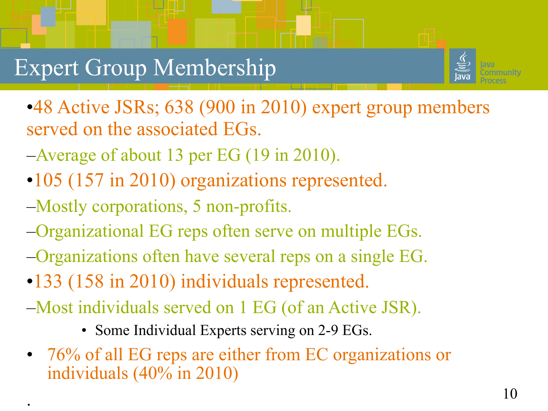#### Expert Group Membership



•48 Active JSRs; 638 (900 in 2010) expert group members served on the associated EGs.

- –Average of about 13 per EG (19 in 2010).
- •105 (157 in 2010) organizations represented.
- –Mostly corporations, 5 non-profits.

.

- –Organizational EG reps often serve on multiple EGs.
- –Organizations often have several reps on a single EG.
- •133 (158 in 2010) individuals represented.
- –Most individuals served on 1 EG (of an Active JSR).
	- Some Individual Experts serving on 2-9 EGs.
- 76% of all EG reps are either from EC organizations or individuals (40% in 2010)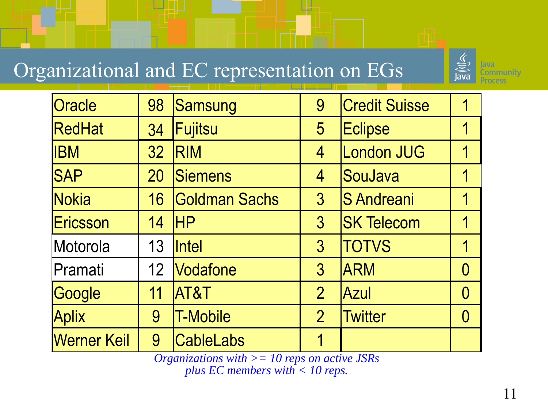#### Organizational and EC representation on EGs



| Oracle             | 98              | Samsung             | 9               | <b>Credit Suisse</b> |  |
|--------------------|-----------------|---------------------|-----------------|----------------------|--|
| RedHat             | 34              | Fujitsu             | $5\overline{)}$ | <b>Eclipse</b>       |  |
| <b>IBM</b>         | 32              | <b>RIM</b>          | $\overline{4}$  | London JUG           |  |
| <b>SAP</b>         | 20              | Siemens             | $\overline{4}$  | SouJava              |  |
| Nokia              | 16              | Goldman Sachs       | 3               | <b>S</b> Andreani    |  |
| Ericsson           | 14              | <b>HP</b>           | $3\overline{3}$ | <b>SK Telecom</b>    |  |
| Motorola           | 13              | <i><b>Intel</b></i> | $\overline{3}$  | <b>TOTVS</b>         |  |
| Pramati            | 12 <sup>°</sup> | Vodafone            | $\overline{3}$  | <b>ARM</b>           |  |
| Google             | 11              | AT&T                | $\overline{2}$  | Azul                 |  |
| <b>Aplix</b>       | 9               | <b>T-Mobile</b>     | $\overline{2}$  | <b>Twitter</b>       |  |
| <b>Werner Keil</b> | 9               | <b>CableLabs</b>    |                 |                      |  |

*Organizations with >= 10 reps on active JSRs plus EC members with < 10 reps.*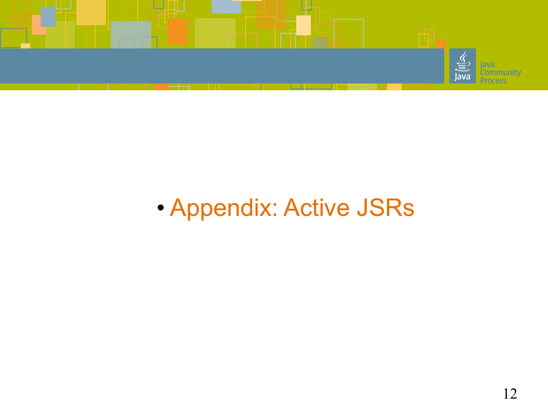

# • Appendix: Active JSRs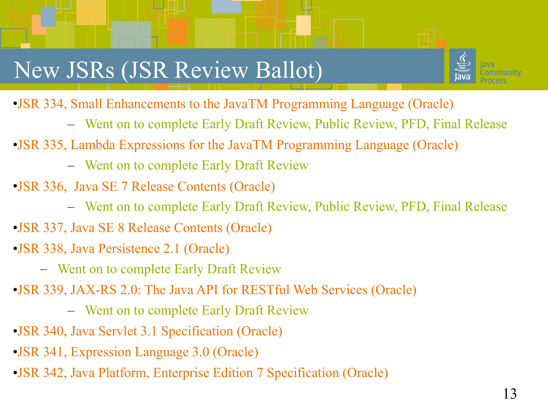## New JSRs (JSR Review Ballot)



- •JSR 334, Small Enhancements to the JavaTM Programming Language (Oracle)
	- Went on to complete Early Draft Review, Public Review, PFD, Final Release
- •JSR 335, Lambda Expressions for the JavaTM Programming Language (Oracle)
	- Went on to complete Early Draft Review
- •JSR 336, Java SE 7 Release Contents (Oracle)
	- Went on to complete Early Draft Review, Public Review, PFD, Final Release
- •JSR 337, Java SE 8 Release Contents (Oracle)
- •JSR 338, Java Persistence 2.1 (Oracle)
	- Went on to complete Early Draft Review
- •JSR 339, JAX-RS 2.0: The Java API for RESTful Web Services (Oracle)
	- Went on to complete Early Draft Review
- •JSR 340, Java Servlet 3.1 Specification (Oracle)
- •JSR 341, Expression Language 3.0 (Oracle)
- •JSR 342, Java Platform, Enterprise Edition 7 Specification (Oracle)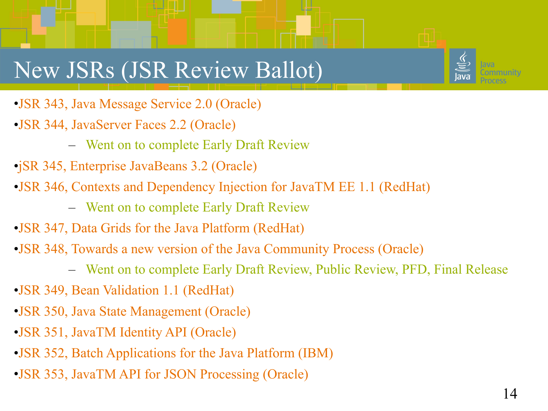#### New JSRs (JSR Review Ballot)



- •JSR 343, Java Message Service 2.0 (Oracle)
- •JSR 344, JavaServer Faces 2.2 (Oracle)
	- Went on to complete Early Draft Review
- •jSR 345, Enterprise JavaBeans 3.2 (Oracle)
- •JSR 346, Contexts and Dependency Injection for JavaTM EE 1.1 (RedHat)
	- Went on to complete Early Draft Review
- •JSR 347, Data Grids for the Java Platform (RedHat)
- •JSR 348, Towards a new version of the Java Community Process (Oracle)
	- Went on to complete Early Draft Review, Public Review, PFD, Final Release
- •JSR 349, Bean Validation 1.1 (RedHat)
- •JSR 350, Java State Management (Oracle)
- •JSR 351, JavaTM Identity API (Oracle)
- •JSR 352, Batch Applications for the Java Platform (IBM)
- •JSR 353, JavaTM API for JSON Processing (Oracle)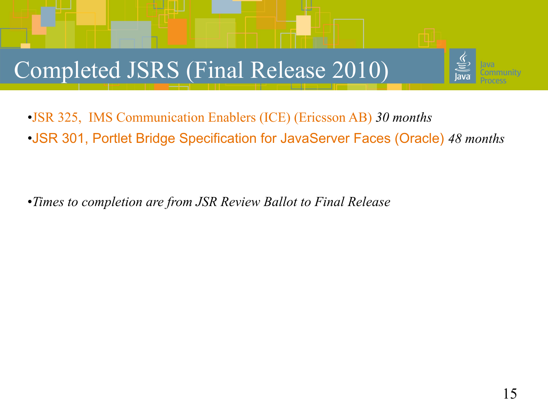# Completed JSRS (Final Release 2010)



•*Times to completion are from JSR Review Ballot to Final Release*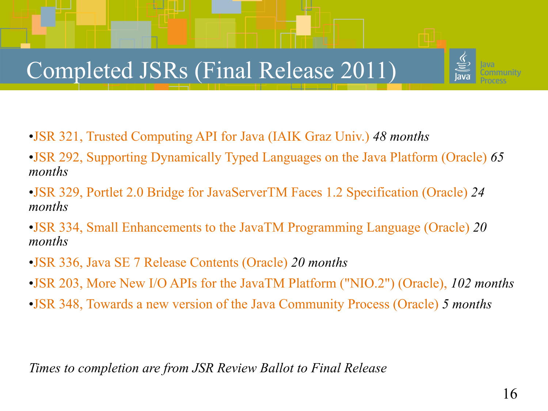#### Completed JSRs (Final Release 2011)

- •JSR 321, Trusted Computing API for Java (IAIK Graz Univ.) *48 months*
- •JSR 292, Supporting Dynamically Typed Languages on the Java Platform (Oracle) *65 months*
- •JSR 329, Portlet 2.0 Bridge for JavaServerTM Faces 1.2 Specification (Oracle) *24 months*
- •JSR 334, Small Enhancements to the JavaTM Programming Language (Oracle) *20 months*
- •JSR 336, Java SE 7 Release Contents (Oracle) *20 months*
- •JSR 203, More New I/O APIs for the JavaTM Platform ("NIO.2") (Oracle), *102 months*
- •JSR 348, Towards a new version of the Java Community Process (Oracle) *5 months*

*Times to completion are from JSR Review Ballot to Final Release*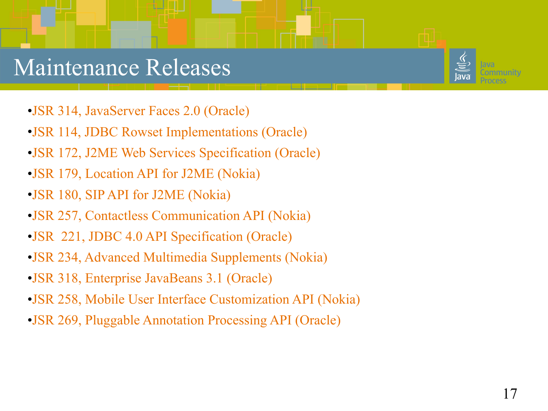#### Maintenance Releases

- •JSR 314, JavaServer Faces 2.0 (Oracle)
- •JSR 114, JDBC Rowset Implementations (Oracle)
- •JSR 172, J2ME Web Services Specification (Oracle)
- •JSR 179, Location API for J2ME (Nokia)
- •JSR 180, SIP API for J2ME (Nokia)
- •JSR 257, Contactless Communication API (Nokia)
- •JSR 221, JDBC 4.0 API Specification (Oracle)
- •JSR 234, Advanced Multimedia Supplements (Nokia)
- •JSR 318, Enterprise JavaBeans 3.1 (Oracle)
- •JSR 258, Mobile User Interface Customization API (Nokia)
- •JSR 269, Pluggable Annotation Processing API (Oracle)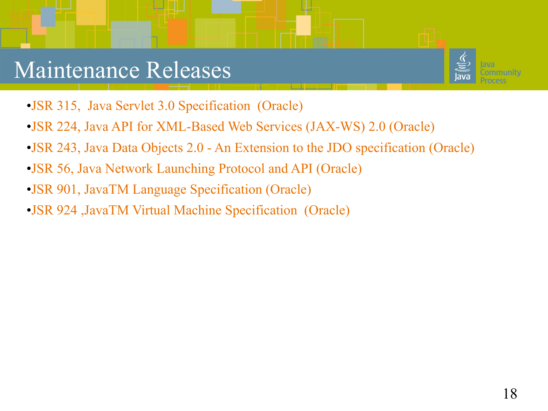#### Maintenance Releases



- •JSR 315, Java Servlet 3.0 Specification (Oracle)
- •JSR 224, Java API for XML-Based Web Services (JAX-WS) 2.0 (Oracle)
- •JSR 243, Java Data Objects 2.0 An Extension to the JDO specification (Oracle)
- •JSR 56, Java Network Launching Protocol and API (Oracle)
- •JSR 901, JavaTM Language Specification (Oracle)
- •JSR 924 ,JavaTM Virtual Machine Specification (Oracle)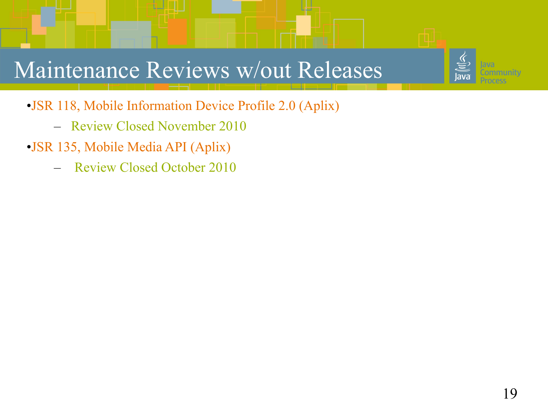#### Maintenance Reviews w/out Releases



- Review Closed November 2010
- •JSR 135, Mobile Media API (Aplix)
	- Review Closed October 2010

unitv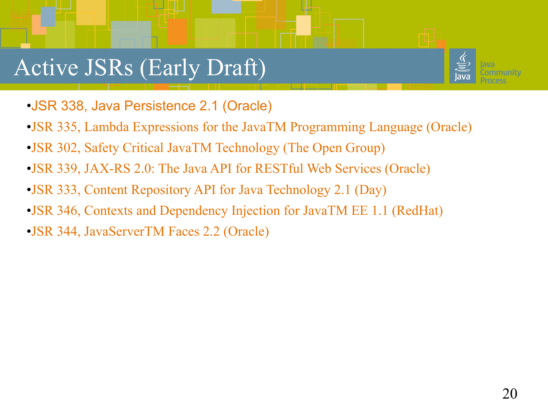#### Active JSRs (Early Draft)



- •JSR 338, Java Persistence 2.1 (Oracle)
- •JSR 335, Lambda Expressions for the JavaTM Programming Language (Oracle)
- •JSR 302, Safety Critical JavaTM Technology (The Open Group)
- •JSR 339, JAX-RS 2.0: The Java API for RESTful Web Services (Oracle)
- •JSR 333, Content Repository API for Java Technology 2.1 (Day)
- •JSR 346, Contexts and Dependency Injection for JavaTM EE 1.1 (RedHat)
- •JSR 344, JavaServerTM Faces 2.2 (Oracle)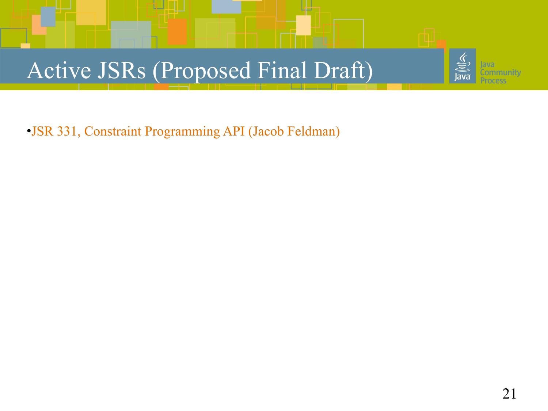# Active JSRs (Proposed Final Draft)

•JSR 331, Constraint Programming API (Jacob Feldman)

unitv